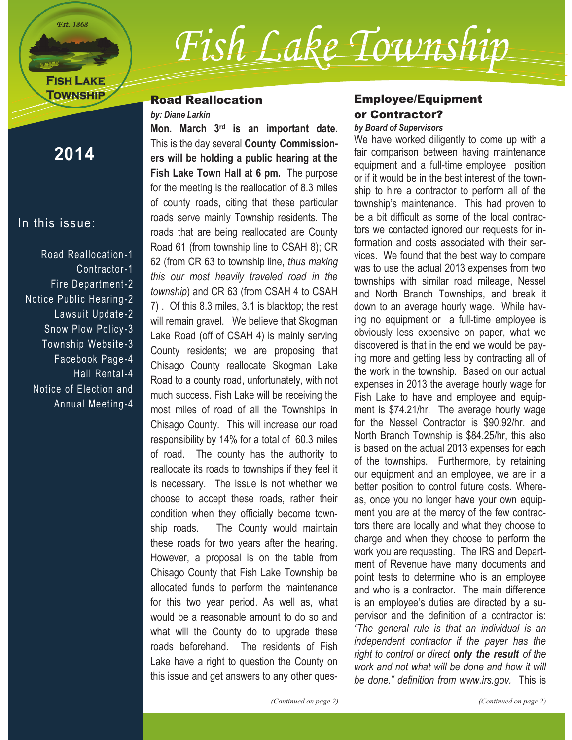**Est. 1868** 

## **FISH LAKE TOWNSHIP**

# *Fish Lake Township*

#### Road Reallocation

#### *by: Diane Larkin*

**2014**

#### In this issue:

Road Reallocation -1 Contractor-1 Fire Department-2 Notice Public Hearing -2 Lawsuit Update-2 Snow Plow Policy-3 Township Website -3 Facebook Page-4 Hall Rental-4 Notice of Election and Annual Meeting-4

**Mon. March 3rd is an important date.** This is the day several **County Commissioners will be holding a public hearing at the Fish Lake Town Hall at 6 pm.** The purpose for the meeting is the reallocation of 8.3 miles of county roads, citing that these particular roads serve mainly Township residents. The roads that are being reallocated are County Road 61 (from township line to CSAH 8); CR 62 (from CR 63 to township line, *thus making this our most heavily traveled road in the township*) and CR 63 (from CSAH 4 to CSAH 7) . Of this 8.3 miles, 3.1 is blacktop; the rest will remain gravel. We believe that Skogman Lake Road (off of CSAH 4) is mainly serving County residents; we are proposing that Chisago County reallocate Skogman Lake Road to a county road, unfortunately, with not much success. Fish Lake will be receiving the most miles of road of all the Townships in Chisago County. This will increase our road responsibility by 14% for a total of 60.3 miles of road. The county has the authority to reallocate its roads to townships if they feel it is necessary. The issue is not whether we choose to accept these roads, rather their condition when they officially become township roads. The County would maintain these roads for two years after the hearing. However, a proposal is on the table from Chisago County that Fish Lake Township be allocated funds to perform the maintenance for this two year period. As well as, what would be a reasonable amount to do so and what will the County do to upgrade these roads beforehand. The residents of Fish Lake have a right to question the County on this issue and get answers to any other ques-

#### Employee/Equipment or Contractor? *by Board of Supervisors*

We have worked diligently to come up with a fair comparison between having maintenance equipment and a full-time employee position or if it would be in the best interest of the township to hire a contractor to perform all of the township's maintenance. This had proven to be a bit difficult as some of the local contractors we contacted ignored our requests for information and costs associated with their services. We found that the best way to compare was to use the actual 2013 expenses from two townships with similar road mileage, Nessel and North Branch Townships, and break it down to an average hourly wage. While having no equipment or a full-time employee is obviously less expensive on paper, what we discovered is that in the end we would be paying more and getting less by contracting all of the work in the township. Based on our actual expenses in 2013 the average hourly wage for Fish Lake to have and employee and equipment is \$74.21/hr. The average hourly wage for the Nessel Contractor is \$90.92/hr. and North Branch Township is \$84.25/hr, this also is based on the actual 2013 expenses for each of the townships. Furthermore, by retaining our equipment and an employee, we are in a better position to control future costs. Whereas, once you no longer have your own equipment you are at the mercy of the few contractors there are locally and what they choose to charge and when they choose to perform the work you are requesting. The IRS and Department of Revenue have many documents and point tests to determine who is an employee and who is a contractor. The main difference is an employee's duties are directed by a supervisor and the definition of a contractor is: *"The general rule is that an individual is an independent contractor if the payer has the right to control or direct only the result of the work and not what will be done and how it will be done." definition from www.irs.gov.* This is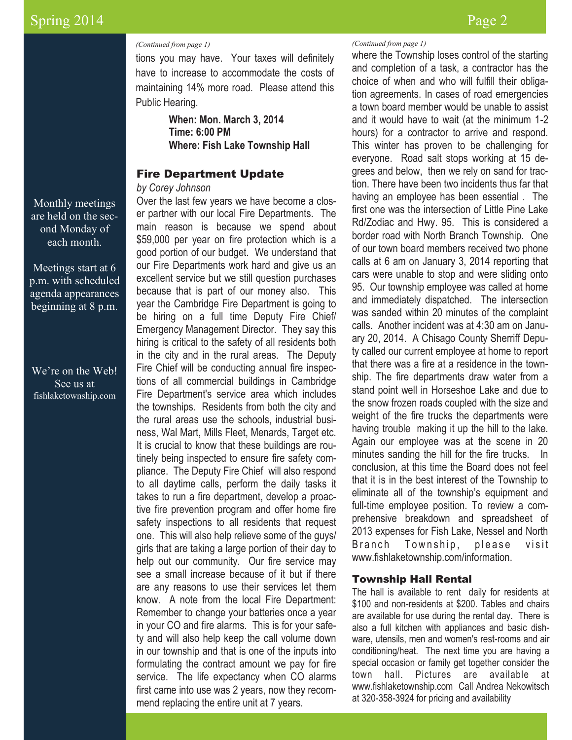#### *(Continued from page 1)*

tions you may have. Your taxes will definitely have to increase to accommodate the costs of maintaining 14% more road. Please attend this Public Hearing.

> **When: Mon. March 3, 2014 Time: 6:00 PM Where: Fish Lake Township Hall**

#### Fire Department Update

#### *by Corey Johnson*

Over the last few years we have become a closer partner with our local Fire Departments. The main reason is because we spend about \$59,000 per year on fire protection which is a good portion of our budget. We understand that our Fire Departments work hard and give us an excellent service but we still question purchases because that is part of our money also. This year the Cambridge Fire Department is going to be hiring on a full time Deputy Fire Chief/ Emergency Management Director. They say this hiring is critical to the safety of all residents both in the city and in the rural areas. The Deputy Fire Chief will be conducting annual fire inspections of all commercial buildings in Cambridge Fire Department's service area which includes the townships. Residents from both the city and the rural areas use the schools, industrial business, Wal Mart, Mills Fleet, Menards, Target etc. It is crucial to know that these buildings are routinely being inspected to ensure fire safety compliance. The Deputy Fire Chief will also respond to all daytime calls, perform the daily tasks it takes to run a fire department, develop a proactive fire prevention program and offer home fire safety inspections to all residents that request one. This will also help relieve some of the guys/ girls that are taking a large portion of their day to help out our community. Our fire service may see a small increase because of it but if there are any reasons to use their services let them know. A note from the local Fire Department: Remember to change your batteries once a year in your CO and fire alarms. This is for your safety and will also help keep the call volume down in our township and that is one of the inputs into formulating the contract amount we pay for fire service. The life expectancy when CO alarms first came into use was 2 years, now they recommend replacing the entire unit at 7 years.

where the Township loses control of the starting *(Continued from page 1)*

and completion of a task, a contractor has the choice of when and who will fulfill their obligation agreements. In cases of road emergencies a town board member would be unable to assist and it would have to wait (at the minimum 1-2 hours) for a contractor to arrive and respond. This winter has proven to be challenging for everyone. Road salt stops working at 15 degrees and below, then we rely on sand for traction. There have been two incidents thus far that having an employee has been essential . The first one was the intersection of Little Pine Lake Rd/Zodiac and Hwy. 95. This is considered a border road with North Branch Township. One of our town board members received two phone calls at 6 am on January 3, 2014 reporting that cars were unable to stop and were sliding onto 95. Our township employee was called at home and immediately dispatched. The intersection was sanded within 20 minutes of the complaint calls. Another incident was at 4:30 am on January 20, 2014. A Chisago County Sherriff Deputy called our current employee at home to report that there was a fire at a residence in the township. The fire departments draw water from a stand point well in Horseshoe Lake and due to the snow frozen roads coupled with the size and weight of the fire trucks the departments were having trouble making it up the hill to the lake. Again our employee was at the scene in 20 minutes sanding the hill for the fire trucks. In conclusion, at this time the Board does not feel that it is in the best interest of the Township to eliminate all of the township's equipment and full-time employee position. To review a comprehensive breakdown and spreadsheet of 2013 expenses for Fish Lake, Nessel and North Branch Township, please visit www.fishlaketownship.com/information.

#### Township Hall Rental

The hall is available to rent daily for residents at \$100 and non-residents at \$200. Tables and chairs are available for use during the rental day. There is also a full kitchen with appliances and basic dishware, utensils, men and women's rest-rooms and air conditioning/heat. The next time you are having a special occasion or family get together consider the town hall. Pictures are available at www.fishlaketownship.com Call Andrea Nekowitsch at 320-358-3924 for pricing and availability

Monthly meetings are held on the second Monday of each month.

Meetings start at 6 p.m. with scheduled agenda appearances beginning at 8 p.m.

We're on the Web! See us at fishlaketownship.com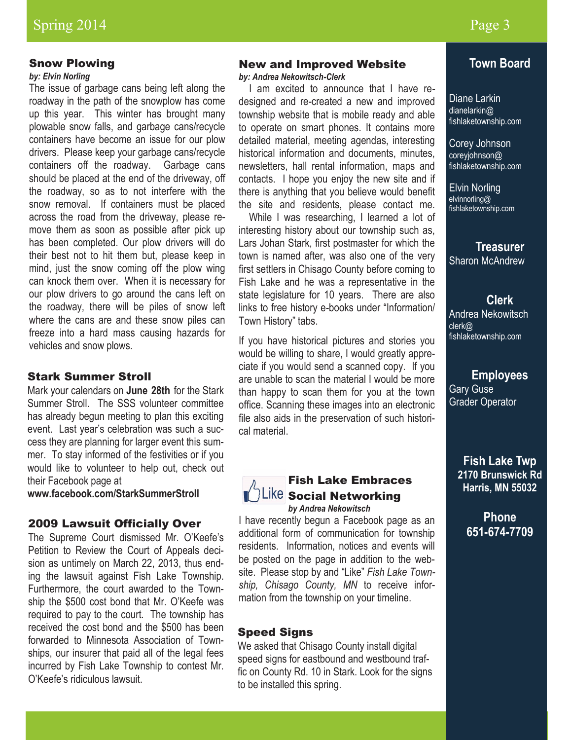#### Snow Plowing

#### *by: Elvin Norling*

The issue of garbage cans being left along the roadway in the path of the snowplow has come up this year. This winter has brought many plowable snow falls, and garbage cans/recycle containers have become an issue for our plow drivers. Please keep your garbage cans/recycle containers off the roadway. Garbage cans should be placed at the end of the driveway, off the roadway, so as to not interfere with the snow removal. If containers must be placed across the road from the driveway, please remove them as soon as possible after pick up has been completed. Our plow drivers will do their best not to hit them but, please keep in mind, just the snow coming off the plow wing can knock them over. When it is necessary for our plow drivers to go around the cans left on the roadway, there will be piles of snow left where the cans are and these snow piles can freeze into a hard mass causing hazards for vehicles and snow plows.

#### Stark Summer Stroll

Mark your calendars on **June 28th** for the Stark Summer Stroll. The SSS volunteer committee has already begun meeting to plan this exciting event. Last year's celebration was such a success they are planning for larger event this summer. To stay informed of the festivities or if you would like to volunteer to help out, check out their Facebook page at

**www.facebook.com/StarkSummerStroll**

#### 2009 Lawsuit Officially Over

The Supreme Court dismissed Mr. O'Keefe's Petition to Review the Court of Appeals decision as untimely on March 22, 2013, thus ending the lawsuit against Fish Lake Township. Furthermore, the court awarded to the Township the \$500 cost bond that Mr. O'Keefe was required to pay to the court. The township has received the cost bond and the \$500 has been forwarded to Minnesota Association of Townships, our insurer that paid all of the legal fees incurred by Fish Lake Township to contest Mr. O'Keefe's ridiculous lawsuit.

#### New and Improved Website

*by: Andrea Nekowitsch-Clerk*

 I am excited to announce that I have redesigned and re-created a new and improved township website that is mobile ready and able to operate on smart phones. It contains more detailed material, meeting agendas, interesting historical information and documents, minutes, newsletters, hall rental information, maps and contacts. I hope you enjoy the new site and if there is anything that you believe would benefit the site and residents, please contact me.

While I was researching, I learned a lot of interesting history about our township such as, Lars Johan Stark, first postmaster for which the town is named after, was also one of the very first settlers in Chisago County before coming to Fish Lake and he was a representative in the state legislature for 10 years. There are also links to free history e-books under "Information/ Town History" tabs.

If you have historical pictures and stories you would be willing to share, I would greatly appreciate if you would send a scanned copy. If you are unable to scan the material I would be more than happy to scan them for you at the town office. Scanning these images into an electronic file also aids in the preservation of such historical material.

### Fish Lake Embraces  $\textsf{S}_\textsf{O}$  Social Networking

*by Andrea Nekowitsch* I have recently begun a Facebook page as an additional form of communication for township residents. Information, notices and events will be posted on the page in addition to the website. Please stop by and "Like" *Fish Lake Township, Chisago County, MN* to receive information from the township on your timeline.

#### Speed Signs

We asked that Chisago County install digital speed signs for eastbound and westbound traffic on County Rd. 10 in Stark. Look for the signs to be installed this spring.

#### **Town Board**

Diane Larkin dianelarkin@ fishlaketownship.com

Corey Johnson coreyjohnson@ fishlaketownship.com

Elvin Norling elvinnorling@ fishlaketownship.com

**Treasurer** Sharon McAndrew

**Clerk** Andrea Nekowitsch clerk@ fishlaketownship.com

**Employees** Gary Guse Grader Operator

**Fish Lake Twp 2170 Brunswick Rd Harris, MN 55032**

> **Phone 651-674-7709**